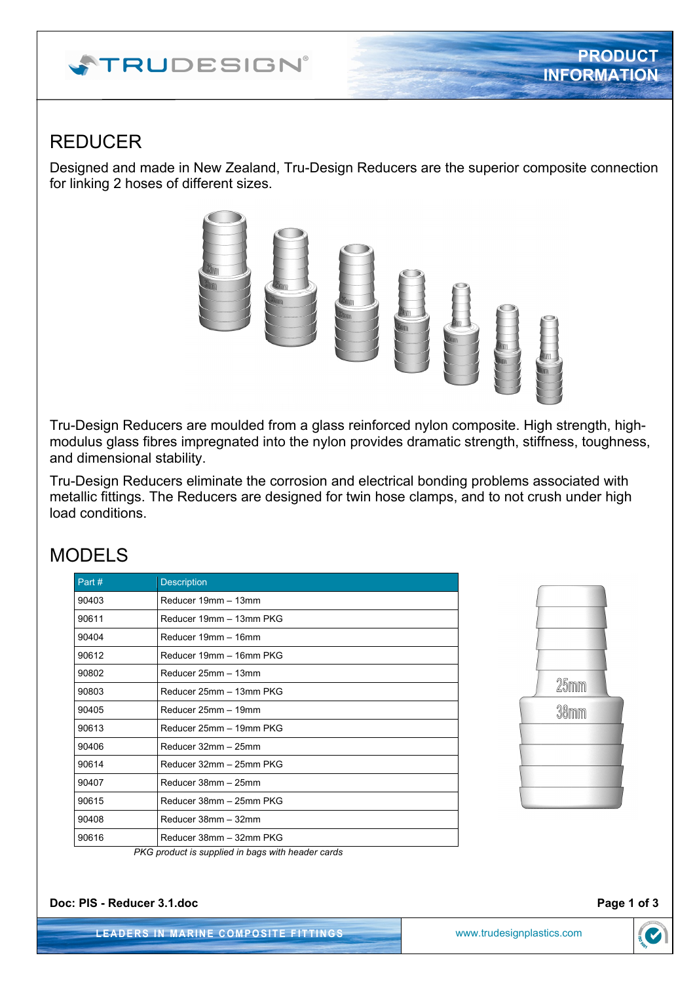# **ATRUDESIGN**®

## REDUCER

Designed and made in New Zealand, Tru-Design Reducers are the superior composite connection for linking 2 hoses of different sizes.



Tru-Design Reducers are moulded from a glass reinforced nylon composite. High strength, highmodulus glass fibres impregnated into the nylon provides dramatic strength, stiffness, toughness, and dimensional stability.

Tru-Design Reducers eliminate the corrosion and electrical bonding problems associated with metallic fittings. The Reducers are designed for twin hose clamps, and to not crush under high load conditions.

### MODELS

| Part# | <b>Description</b>      |  |
|-------|-------------------------|--|
| 90403 | Reducer 19mm - 13mm     |  |
| 90611 | Reducer 19mm - 13mm PKG |  |
| 90404 | Reducer 19mm - 16mm     |  |
| 90612 | Reducer 19mm - 16mm PKG |  |
| 90802 | Reducer 25mm - 13mm     |  |
| 90803 | Reducer 25mm - 13mm PKG |  |
| 90405 | Reducer 25mm - 19mm     |  |
| 90613 | Reducer 25mm - 19mm PKG |  |
| 90406 | Reducer 32mm - 25mm     |  |
| 90614 | Reducer 32mm - 25mm PKG |  |
| 90407 | Reducer 38mm - 25mm     |  |
| 90615 | Reducer 38mm - 25mm PKG |  |
| 90408 | Reducer 38mm - 32mm     |  |
| 90616 | Reducer 38mm - 32mm PKG |  |



*PKG product is supplied in bags with header cards* 

**Doc: PIS - Reducer 3.1.doc** Page 1 of 3

**LEADERS IN MARINE COMPOSITE FITTINGS** www.trudesignplastics.com

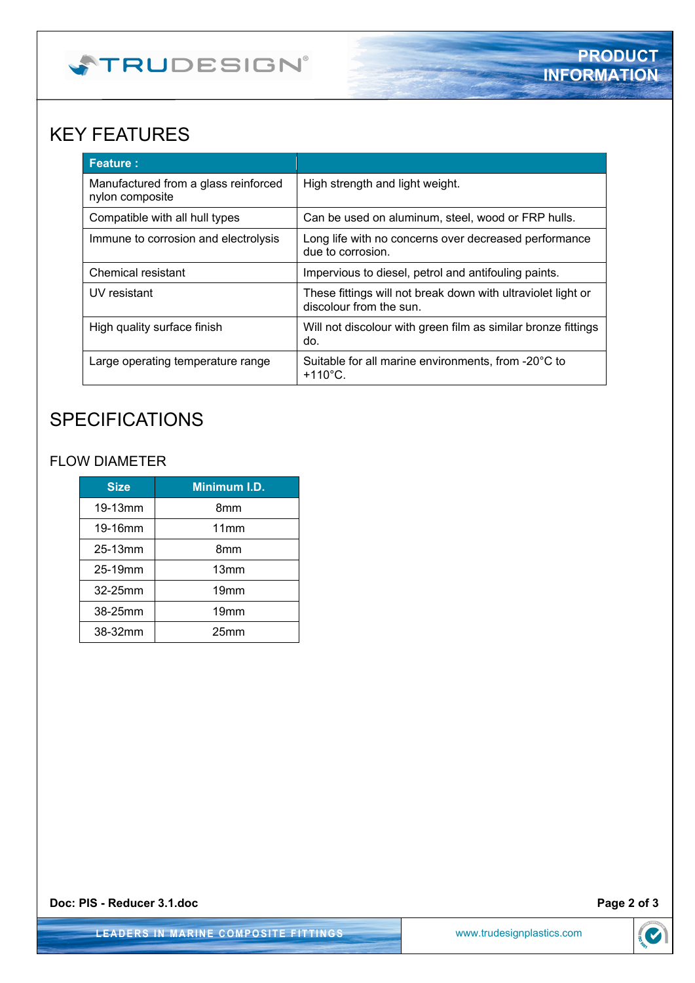

## KEY FEATURES

| <b>Feature:</b>                                         |                                                                                         |
|---------------------------------------------------------|-----------------------------------------------------------------------------------------|
| Manufactured from a glass reinforced<br>nylon composite | High strength and light weight.                                                         |
| Compatible with all hull types                          | Can be used on aluminum, steel, wood or FRP hulls.                                      |
| Immune to corrosion and electrolysis                    | Long life with no concerns over decreased performance<br>due to corrosion.              |
| Chemical resistant                                      | Impervious to diesel, petrol and antifouling paints.                                    |
| UV resistant                                            | These fittings will not break down with ultraviolet light or<br>discolour from the sun. |
| High quality surface finish                             | Will not discolour with green film as similar bronze fittings<br>do.                    |
| Large operating temperature range                       | Suitable for all marine environments, from -20°C to<br>$+110^{\circ}$ C.                |

## **SPECIFICATIONS**

#### FLOW DIAMETER

| <b>Size</b> | Minimum I.D.     |
|-------------|------------------|
| 19-13mm     | 8mm              |
| 19-16mm     | 11mm             |
| 25-13mm     | 8mm              |
| 25-19mm     | 13mm             |
| 32-25mm     | 19 <sub>mm</sub> |
| 38-25mm     | 19 <sub>mm</sub> |
| 38-32mm     | 25mm             |

**Doc: PIS - Reducer 3.1.doc** Page 2 of 3

**LEADERS IN MARINE COMPOSITE FITTINGS** www.trudesignplastics.com